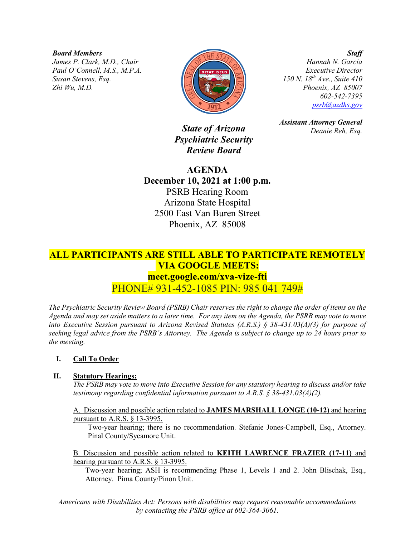*Board Members*

*James P. Clark, M.D., Chair Paul O'Connell, M.S., M.P.A. Susan Stevens, Esq. Zhi Wu, M.D.*



*Hannah N. Garcia Executive Director 150 N. 18th Ave., Suite 410 Phoenix, AZ 85007 602-542-7395 [psrb@azdhs.gov](mailto:psrb@azdhs.gov)*

*Assistant Attorney General*

*Deanie Reh, Esq.*

*State of Arizona Psychiatric Security Review Board*

**AGENDA December 10, 2021 at 1:00 p.m.** PSRB Hearing Room Arizona State Hospital 2500 East Van Buren Street Phoenix, AZ 85008

# **ALL PARTICIPANTS ARE STILL ABLE TO PARTICIPATE REMOTELY VIA GOOGLE MEETS: meet.google.com/xva-vize-fti** PHONE# 931-452-1085 PIN: 985 041 749#

*The Psychiatric Security Review Board (PSRB) Chair reserves the right to change the order of items on the Agenda and may set aside matters to a later time. For any item on the Agenda, the PSRB may vote to move into Executive Session pursuant to Arizona Revised Statutes (A.R.S.) § 38-431.03(A)(3) for purpose of seeking legal advice from the PSRB's Attorney. The Agenda is subject to change up to 24 hours prior to the meeting.*

# **I. Call To Order**

# **II. Statutory Hearings:**

*The PSRB may vote to move into Executive Session for any statutory hearing to discuss and/or take testimony regarding confidential information pursuant to A.R.S. § 38-431.03(A)(2).* 

A. Discussion and possible action related to **JAMES MARSHALL LONGE (10-12)** and hearing pursuant to A.R.S. § 13-3995.

Two-year hearing; there is no recommendation. Stefanie Jones-Campbell, Esq., Attorney. Pinal County/Sycamore Unit.

B. Discussion and possible action related to **KEITH LAWRENCE FRAZIER (17-11)** and hearing pursuant to A.R.S. § 13-3995.

Two-year hearing; ASH is recommending Phase 1, Levels 1 and 2. John Blischak, Esq., Attorney. Pima County/Pinon Unit.

*Americans with Disabilities Act: Persons with disabilities may request reasonable accommodations by contacting the PSRB office at 602-364-3061.*

# *Staff*